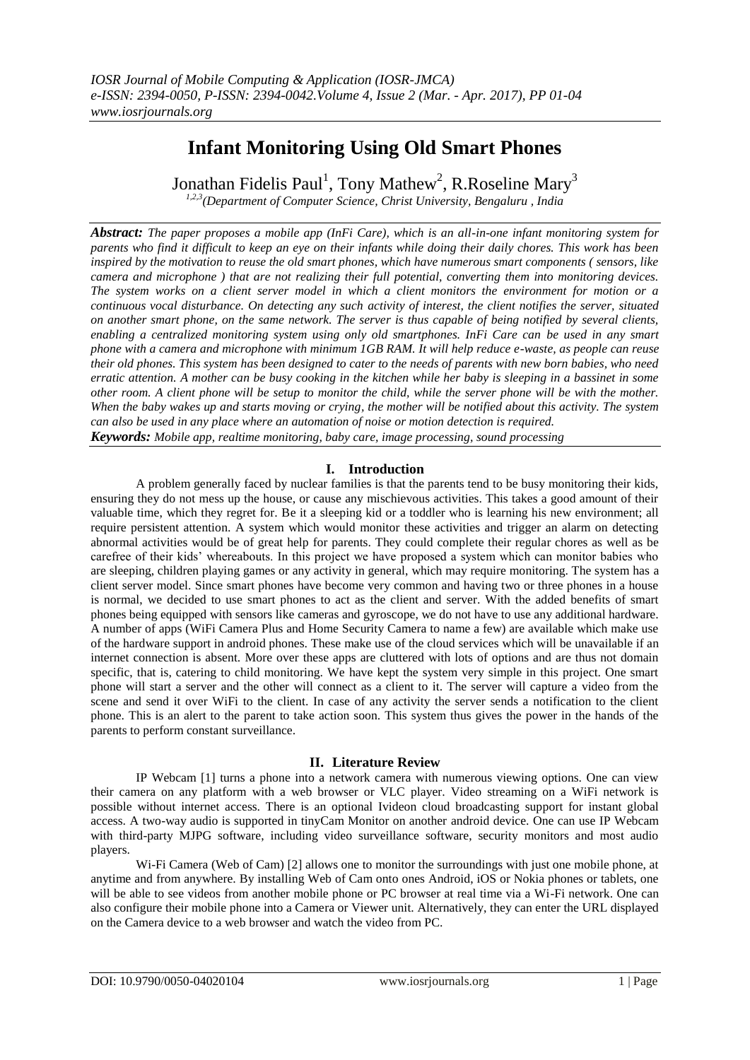# **Infant Monitoring Using Old Smart Phones**

Jonathan Fidelis Paul<sup>1</sup>, Tony Mathew<sup>2</sup>, R.Roseline Mary<sup>3</sup>

*1,2,3(Department of Computer Science, Christ University, Bengaluru , India*

*Abstract: The paper proposes a mobile app (InFi Care), which is an all-in-one infant monitoring system for parents who find it difficult to keep an eye on their infants while doing their daily chores. This work has been inspired by the motivation to reuse the old smart phones, which have numerous smart components ( sensors, like camera and microphone ) that are not realizing their full potential, converting them into monitoring devices. The system works on a client server model in which a client monitors the environment for motion or a continuous vocal disturbance. On detecting any such activity of interest, the client notifies the server, situated on another smart phone, on the same network. The server is thus capable of being notified by several clients, enabling a centralized monitoring system using only old smartphones. InFi Care can be used in any smart phone with a camera and microphone with minimum 1GB RAM. It will help reduce e-waste, as people can reuse their old phones. This system has been designed to cater to the needs of parents with new born babies, who need erratic attention. A mother can be busy cooking in the kitchen while her baby is sleeping in a bassinet in some other room. A client phone will be setup to monitor the child, while the server phone will be with the mother. When the baby wakes up and starts moving or crying, the mother will be notified about this activity. The system can also be used in any place where an automation of noise or motion detection is required.*

*Keywords: Mobile app, realtime monitoring, baby care, image processing, sound processing*

# **I. Introduction**

A problem generally faced by nuclear families is that the parents tend to be busy monitoring their kids, ensuring they do not mess up the house, or cause any mischievous activities. This takes a good amount of their valuable time, which they regret for. Be it a sleeping kid or a toddler who is learning his new environment; all require persistent attention. A system which would monitor these activities and trigger an alarm on detecting abnormal activities would be of great help for parents. They could complete their regular chores as well as be carefree of their kids' whereabouts. In this project we have proposed a system which can monitor babies who are sleeping, children playing games or any activity in general, which may require monitoring. The system has a client server model. Since smart phones have become very common and having two or three phones in a house is normal, we decided to use smart phones to act as the client and server. With the added benefits of smart phones being equipped with sensors like cameras and gyroscope, we do not have to use any additional hardware. A number of apps (WiFi Camera Plus and Home Security Camera to name a few) are available which make use of the hardware support in android phones. These make use of the cloud services which will be unavailable if an internet connection is absent. More over these apps are cluttered with lots of options and are thus not domain specific, that is, catering to child monitoring. We have kept the system very simple in this project. One smart phone will start a server and the other will connect as a client to it. The server will capture a video from the scene and send it over WiFi to the client. In case of any activity the server sends a notification to the client phone. This is an alert to the parent to take action soon. This system thus gives the power in the hands of the parents to perform constant surveillance.

## **II. Literature Review**

IP Webcam [1] turns a phone into a network camera with numerous viewing options. One can view their camera on any platform with a web browser or VLC player. Video streaming on a WiFi network is possible without internet access. There is an optional Ivideon cloud broadcasting support for instant global access. A two-way audio is supported in tinyCam Monitor on another android device. One can use IP Webcam with third-party MJPG software, including video surveillance software, security monitors and most audio players.

Wi-Fi Camera (Web of Cam) [2] allows one to monitor the surroundings with just one mobile phone, at anytime and from anywhere. By installing Web of Cam onto ones Android, iOS or Nokia phones or tablets, one will be able to see videos from another mobile phone or PC browser at real time via a Wi-Fi network. One can also configure their mobile phone into a Camera or Viewer unit. Alternatively, they can enter the URL displayed on the Camera device to a web browser and watch the video from PC.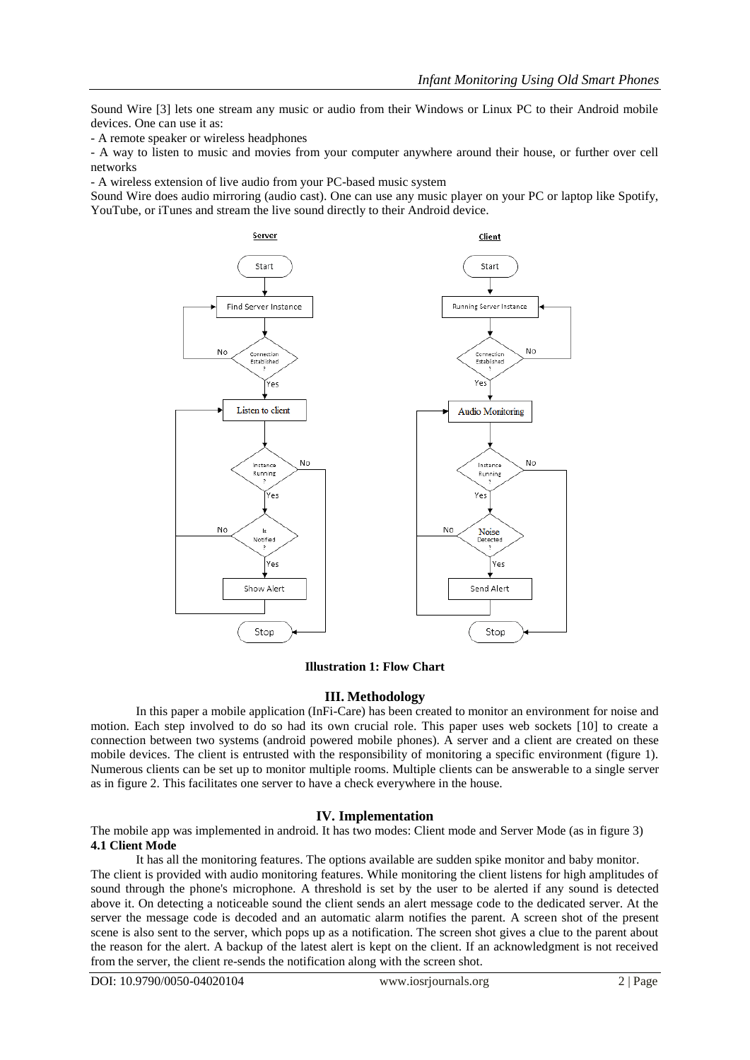Sound Wire [3] lets one stream any music or audio from their Windows or Linux PC to their Android mobile devices. One can use it as:

- A remote speaker or wireless headphones

- A way to listen to music and movies from your computer anywhere around their house, or further over cell networks

- A wireless extension of live audio from your PC-based music system

Sound Wire does audio mirroring (audio cast). One can use any music player on your PC or laptop like Spotify, YouTube, or iTunes and stream the live sound directly to their Android device.



#### **Illustration 1: Flow Chart**

#### **III. Methodology**

In this paper a mobile application (InFi-Care) has been created to monitor an environment for noise and motion. Each step involved to do so had its own crucial role. This paper uses web sockets [10] to create a connection between two systems (android powered mobile phones). A server and a client are created on these mobile devices. The client is entrusted with the responsibility of monitoring a specific environment (figure 1). Numerous clients can be set up to monitor multiple rooms. Multiple clients can be answerable to a single server as in figure 2. This facilitates one server to have a check everywhere in the house.

#### **IV. Implementation**

The mobile app was implemented in android. It has two modes: Client mode and Server Mode (as in figure 3) **4.1 Client Mode**

It has all the monitoring features. The options available are sudden spike monitor and baby monitor. The client is provided with audio monitoring features. While monitoring the client listens for high amplitudes of sound through the phone's microphone. A threshold is set by the user to be alerted if any sound is detected above it. On detecting a noticeable sound the client sends an alert message code to the dedicated server. At the server the message code is decoded and an automatic alarm notifies the parent. A screen shot of the present scene is also sent to the server, which pops up as a notification. The screen shot gives a clue to the parent about the reason for the alert. A backup of the latest alert is kept on the client. If an acknowledgment is not received from the server, the client re-sends the notification along with the screen shot.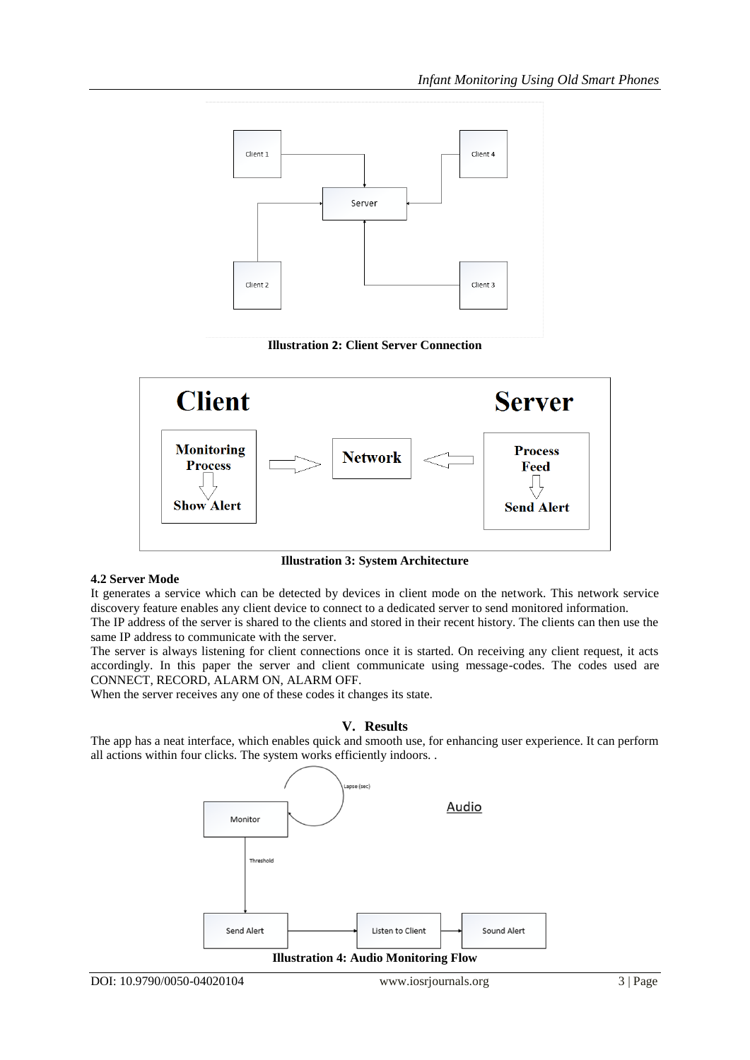





**Illustration 3: System Architecture**

## **4.2 Server Mode**

It generates a service which can be detected by devices in client mode on the network. This network service discovery feature enables any client device to connect to a dedicated server to send monitored information.

The IP address of the server is shared to the clients and stored in their recent history. The clients can then use the same IP address to communicate with the server.

The server is always listening for client connections once it is started. On receiving any client request, it acts accordingly. In this paper the server and client communicate using message-codes. The codes used are CONNECT, RECORD, ALARM ON, ALARM OFF.

When the server receives any one of these codes it changes its state.

## **V. Results**

The app has a neat interface, which enables quick and smooth use, for enhancing user experience. It can perform all actions within four clicks. The system works efficiently indoors. .